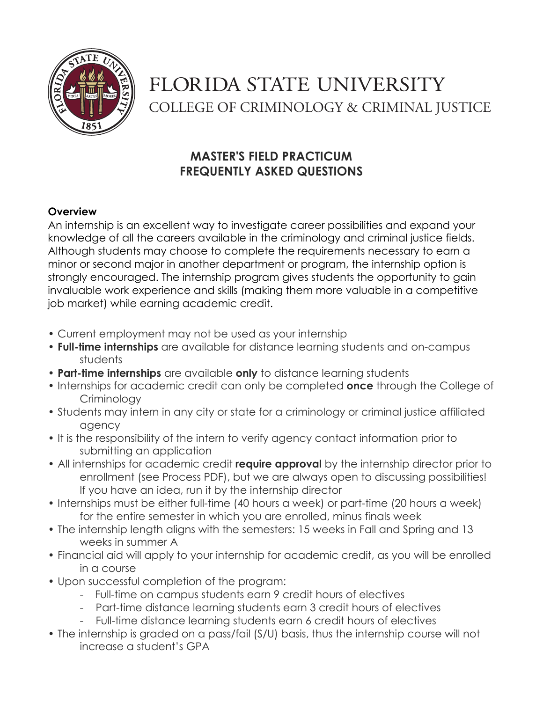

# FLORIDA STATE UNIVERSITY COLLEGE OF CRIMINOLOGY & CRIMINAL JUSTICE

# **MASTER'S FIELD PRACTICUM FREQUENTLY ASKED QUESTIONS**

# **Overview**

An internship is an excellent way to investigate career possibilities and expand your knowledge of all the careers available in the criminology and criminal justice fields. Although students may choose to complete the requirements necessary to earn a minor or second major in another department or program, the internship option is strongly encouraged. The internship program gives students the opportunity to gain invaluable work experience and skills (making them more valuable in a competitive job market) while earning academic credit.

- Current employment may not be used as your internship
- **Full-time internships** are available for distance learning students and on-campus students
- **Part-time internships** are available **only** to distance learning students
- Internships for academic credit can only be completed **once** through the College of **Criminology**
- Students may intern in any city or state for a criminology or criminal justice affiliated agency
- It is the responsibility of the intern to verify agency contact information prior to submitting an application
- All internships for academic credit **require approval** by the internship director prior to enrollment (see Process PDF), but we are always open to discussing possibilities! If you have an idea, run it by the internship director
- Internships must be either full-time (40 hours a week) or part-time (20 hours a week) for the entire semester in which you are enrolled, minus finals week
- The internship length aligns with the semesters: 15 weeks in Fall and Spring and 13 weeks in summer A
- Financial aid will apply to your internship for academic credit, as you will be enrolled in a course
- Upon successful completion of the program:
	- Full-time on campus students earn 9 credit hours of electives
	- Part-time distance learning students earn 3 credit hours of electives
	- Full-time distance learning students earn 6 credit hours of electives
- The internship is graded on a pass/fail (S/U) basis, thus the internship course will not increase a student's GPA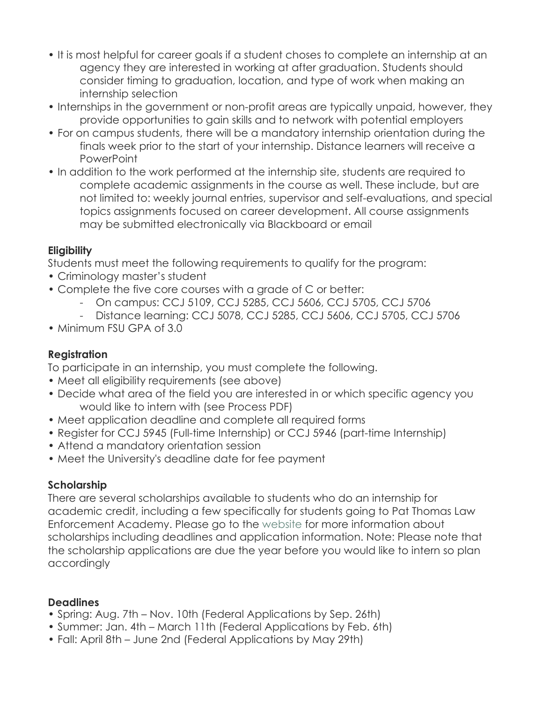- It is most helpful for career goals if a student choses to complete an internship at an agency they are interested in working at after graduation. Students should consider timing to graduation, location, and type of work when making an internship selection
- Internships in the government or non-profit areas are typically unpaid, however, they provide opportunities to gain skills and to network with potential employers
- For on campus students, there will be a mandatory internship orientation during the finals week prior to the start of your internship. Distance learners will receive a **PowerPoint**
- In addition to the work performed at the internship site, students are required to complete academic assignments in the course as well. These include, but are not limited to: weekly journal entries, supervisor and self-evaluations, and special topics assignments focused on career development. All course assignments may be submitted electronically via Blackboard or email

# **Eligibility**

Students must meet the following requirements to qualify for the program:

- Criminology master's student
- Complete the five core courses with a grade of C or better:
	- On campus: CCJ 5109, CCJ 5285, CCJ 5606, CCJ 5705, CCJ 5706
	- Distance learning: CCJ 5078, CCJ 5285, CCJ 5606, CCJ 5705, CCJ 5706
- Minimum FSU GPA of 3.0

# **Registration**

To participate in an internship, you must complete the following.

- Meet all eligibility requirements (see above)
- Decide what area of the field you are interested in or which specific agency you would like to intern with (see Process PDF)
- Meet application deadline and complete all required forms
- Register for CCJ 5945 (Full-time Internship) or CCJ 5946 (part-time Internship)
- Attend a mandatory orientation session
- Meet the University's deadline date for fee payment

# **Scholarship**

There are several scholarships available to students who do an internship for academic credit, including a few specifically for students going to Pat Thomas Law Enforcement Academy. Please go to the website for more information about scholarships including deadlines and application information. Note: Please note that the scholarship applications are due the year before you would like to intern so plan accordingly

#### **Deadlines**

- Spring: Aug. 7th Nov. 10th (Federal Applications by Sep. 26th)
- Summer: Jan. 4th March 11th (Federal Applications by Feb. 6th)
- Fall: April 8th June 2nd (Federal Applications by May 29th)